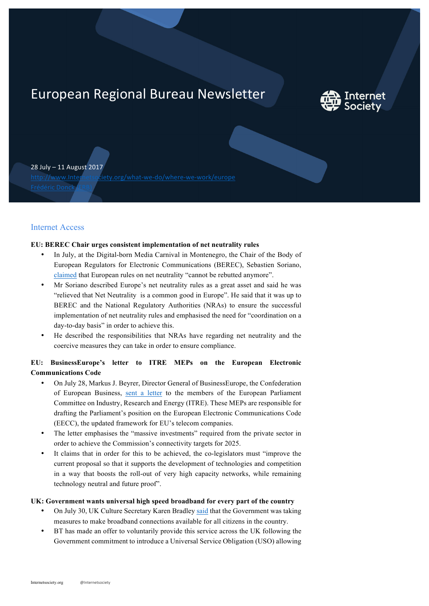# European Regional Bureau Newsletter



28 July – 11 August 2017

http://www.Internetsociety.org/what-we-do/where-we-work/europe

# Internet Access

## **EU: BEREC Chair urges consistent implementation of net neutrality rules**

- In July, at the Digital-born Media Carnival in Montenegro, the Chair of the Body of European Regulators for Electronic Communications (BEREC), Sebastien Soriano, claimed that European rules on net neutrality "cannot be rebutted anymore".
- Mr Soriano described Europe's net neutrality rules as a great asset and said he was "relieved that Net Neutrality is a common good in Europe". He said that it was up to BEREC and the National Regulatory Authorities (NRAs) to ensure the successful implementation of net neutrality rules and emphasised the need for "coordination on a day-to-day basis" in order to achieve this.
- He described the responsibilities that NRAs have regarding net neutrality and the coercive measures they can take in order to ensure compliance.

# **EU: BusinessEurope's letter to ITRE MEPs on the European Electronic Communications Code**

- On July 28, Markus J. Beyrer, Director General of BusinessEurope, the Confederation of European Business, sent a letter to the members of the European Parliament Committee on Industry, Research and Energy (ITRE). These MEPs are responsible for drafting the Parliament's position on the European Electronic Communications Code (EECC), the updated framework for EU's telecom companies.
- The letter emphasises the "massive investments" required from the private sector in order to achieve the Commission's connectivity targets for 2025.
- It claims that in order for this to be achieved, the co-legislators must "improve the current proposal so that it supports the development of technologies and competition in a way that boosts the roll-out of very high capacity networks, while remaining technology neutral and future proof".

# **UK: Government wants universal high speed broadband for every part of the country**

- On July 30, UK Culture Secretary Karen Bradley said that the Government was taking measures to make broadband connections available for all citizens in the country.
- BT has made an offer to voluntarily provide this service across the UK following the Government commitment to introduce a Universal Service Obligation (USO) allowing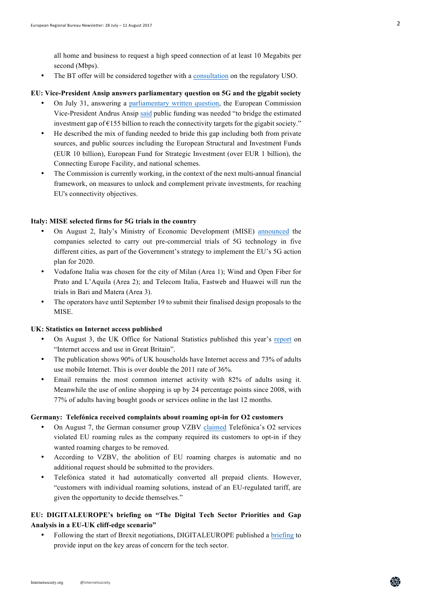all home and business to request a high speed connection of at least 10 Megabits per second (Mbps).

• The BT offer will be considered together with a consultation on the regulatory USO.

## **EU: Vice-President Ansip answers parliamentary question on 5G and the gigabit society**

- On July 31, answering a parliamentary written question, the European Commission Vice-President Andrus Ansip said public funding was needed "to bridge the estimated investment gap of  $E155$  billion to reach the connectivity targets for the gigabit society."
- He described the mix of funding needed to bride this gap including both from private sources, and public sources including the European Structural and Investment Funds (EUR 10 billion), European Fund for Strategic Investment (over EUR 1 billion), the Connecting Europe Facility, and national schemes.
- The Commission is currently working, in the context of the next multi-annual financial framework, on measures to unlock and complement private investments, for reaching EU's connectivity objectives.

#### **Italy: MISE selected firms for 5G trials in the country**

- On August 2, Italy's Ministry of Economic Development (MISE) announced the companies selected to carry out pre-commercial trials of 5G technology in five different cities, as part of the Government's strategy to implement the EU's 5G action plan for 2020.
- Vodafone Italia was chosen for the city of Milan (Area 1); Wind and Open Fiber for Prato and L'Aquila (Area 2); and Telecom Italia, Fastweb and Huawei will run the trials in Bari and Matera (Area 3).
- The operators have until September 19 to submit their finalised design proposals to the MISE.

#### **UK: Statistics on Internet access published**

- On August 3, the UK Office for National Statistics published this year's report on "Internet access and use in Great Britain".
- The publication shows 90% of UK households have Internet access and 73% of adults use mobile Internet. This is over double the 2011 rate of 36%.
- Email remains the most common internet activity with 82% of adults using it. Meanwhile the use of online shopping is up by 24 percentage points since 2008, with 77% of adults having bought goods or services online in the last 12 months.

#### **Germany: Telefónica received complaints about roaming opt-in for O2 customers**

- On August 7, the German consumer group VZBV claimed Telefónica's O2 services violated EU roaming rules as the company required its customers to opt-in if they wanted roaming charges to be removed.
- According to VZBV, the abolition of EU roaming charges is automatic and no additional request should be submitted to the providers.
- Telefónica stated it had automatically converted all prepaid clients. However, "customers with individual roaming solutions, instead of an EU-regulated tariff, are given the opportunity to decide themselves."

# **EU: DIGITALEUROPE's briefing on "The Digital Tech Sector Priorities and Gap Analysis in a EU-UK cliff-edge scenario"**

• Following the start of Brexit negotiations, DIGITALEUROPE published a briefing to provide input on the key areas of concern for the tech sector.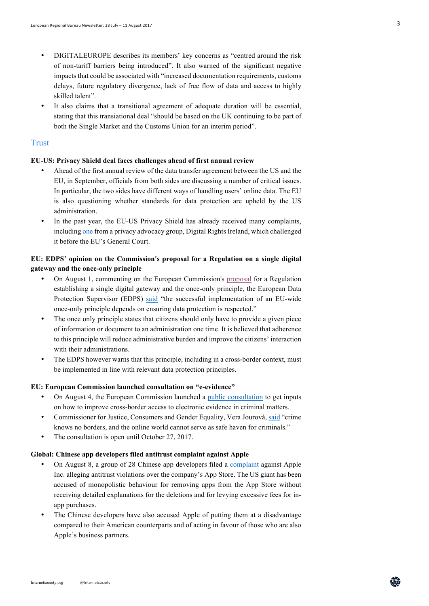- DIGITALEUROPE describes its members' key concerns as "centred around the risk of non-tariff barriers being introduced". It also warned of the significant negative impacts that could be associated with "increased documentation requirements, customs delays, future regulatory divergence, lack of free flow of data and access to highly skilled talent".
- It also claims that a transitional agreement of adequate duration will be essential, stating that this transiational deal "should be based on the UK continuing to be part of both the Single Market and the Customs Union for an interim period".

## **Trust**

## **EU-US: Privacy Shield deal faces challenges ahead of first annual review**

- Ahead of the first annual review of the data transfer agreement between the US and the EU, in September, officials from both sides are discussing a number of critical issues. In particular, the two sides have different ways of handling users' online data. The EU is also questioning whether standards for data protection are upheld by the US administration.
- In the past year, the EU-US Privacy Shield has already received many complaints, including one from a privacy advocacy group, Digital Rights Ireland, which challenged it before the EU's General Court.

# **EU: EDPS' opinion on the Commission's proposal for a Regulation on a single digital gateway and the once-only principle**

- On August 1, commenting on the European Commission's proposal for a Regulation establishing a single digital gateway and the once-only principle, the European Data Protection Supervisor (EDPS) said "the successful implementation of an EU-wide once-only principle depends on ensuring data protection is respected."
- The once only principle states that citizens should only have to provide a given piece of information or document to an administration one time. It is believed that adherence to this principle will reduce administrative burden and improve the citizens' interaction with their administrations.
- The EDPS however warns that this principle, including in a cross-border context, must be implemented in line with relevant data protection principles.

#### **EU: European Commission launched consultation on "e-evidence"**

- On August 4, the European Commission launched a public consultation to get inputs on how to improve cross-border access to electronic evidence in criminal matters.
- Commissioner for Justice, Consumers and Gender Equality, Vera Jourová, said "crime knows no borders, and the online world cannot serve as safe haven for criminals."
- The consultation is open until October 27, 2017.

## **Global: Chinese app developers filed antitrust complaint against Apple**

- On August 8, a group of 28 Chinese app developers filed a complaint against Apple Inc. alleging antitrust violations over the company's App Store. The US giant has been accused of monopolistic behaviour for removing apps from the App Store without receiving detailed explanations for the deletions and for levying excessive fees for inapp purchases.
- The Chinese developers have also accused Apple of putting them at a disadvantage compared to their American counterparts and of acting in favour of those who are also Apple's business partners.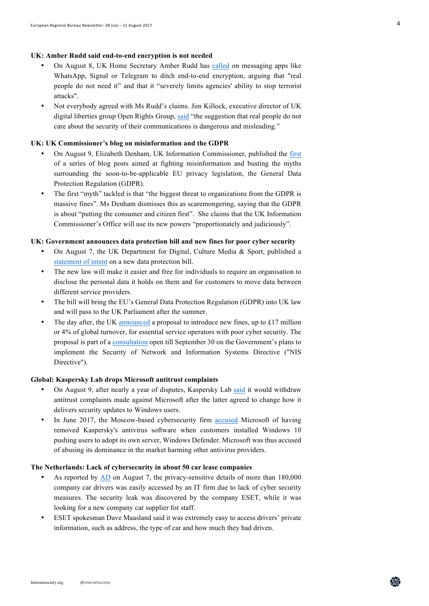## **UK: Amber Rudd said end-to-end encryption is not needed**

- On August 8, UK Home Secretary Amber Rudd has called on messaging apps like WhatsApp, Signal or Telegram to ditch end-to-end encryption, arguing that "real people do not need it" and that it "severely limits agencies' ability to stop terrorist attacks".
- Not everybody agreed with Ms Rudd's claims. Jim Killock, executive director of UK digital liberties group Open Rights Group, said "the suggestion that real people do not care about the security of their communications is dangerous and misleading."

## **UK: UK Commissioner's blog on misinformation and the GDPR**

- On August 9, Elizabeth Denham, UK Information Commissioner, published the first of a series of blog posts aimed at fighting misinformation and busting the myths surrounding the soon-to-be-applicable EU privacy legislation, the General Data Protection Regulation (GDPR).
- The first "myth" tackled is that "the biggest threat to organizations from the GDPR is massive fines". Ms Denham dismisses this as scaremongering, saying that the GDPR is about "putting the consumer and citizen first". She claims that the UK Information Commissioner's Office will use its new powers "proportionately and judiciously".

## **UK: Government announces data protection bill and new fines for poor cyber security**

- On August 7, the UK Department for Digital, Culture Media & Sport, published a statement of intent on a new data protection bill.
- The new law will make it easier and free for individuals to require an organisation to disclose the personal data it holds on them and for customers to move data between different service providers.
- The bill will bring the EU's General Data Protection Regulation (GDPR) into UK law and will pass to the UK Parliament after the summer.
- The day after, the UK announced a proposal to introduce new fines, up to £17 million or 4% of global turnover, for essential service operators with poor cyber security. The proposal is part of a consultation open till September 30 on the Government's plans to implement the Security of Network and Information Systems Directive ("NIS Directive").

## **Global: Kaspersky Lab drops Microsoft antitrust complaints**

- On August 9, after nearly a year of disputes, Kaspersky Lab said it would withdraw antitrust complaints made against Microsoft after the latter agreed to change how it delivers security updates to Windows users.
- In June 2017, the Moscow-based cybersecurity firm accused Microsoft of having removed Kaspersky's antivirus software when customers installed Windows 10 pushing users to adopt its own server, Windows Defender. Microsoft was thus accused of abusing its dominance in the market harming other antivirus providers.

#### **The Netherlands: Lack of cybersecurity in about 50 car lease companies**

- As reported by AD on August 7, the privacy-sensitive details of more than 180,000 company car drivers was easily accessed by an IT firm due to lack of cyber security measures. The security leak was discovered by the company ESET, while it was looking for a new company car supplier for staff.
- ESET spokesman Dave Maasland said it was extremely easy to access drivers' private information, such as address, the type of car and how much they had driven.